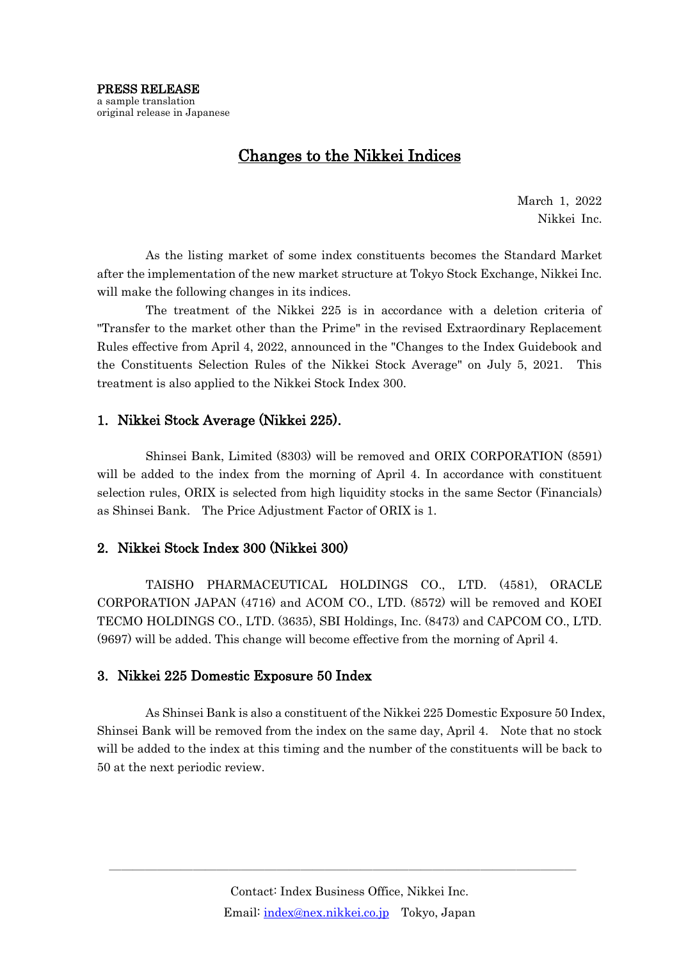## Changes to the Nikkei Indices

March 1, 2022 Nikkei Inc.

As the listing market of some index constituents becomes the Standard Market after the implementation of the new market structure at Tokyo Stock Exchange, Nikkei Inc. will make the following changes in its indices.

The treatment of the Nikkei 225 is in accordance with a deletion criteria of "Transfer to the market other than the Prime" in the revised Extraordinary Replacement Rules effective from April 4, 2022, announced in the "Changes to the Index Guidebook and the Constituents Selection Rules of the Nikkei Stock Average" on July 5, 2021. This treatment is also applied to the Nikkei Stock Index 300.

## 1. Nikkei Stock Average (Nikkei 225).

Shinsei Bank, Limited (8303) will be removed and ORIX CORPORATION (8591) will be added to the index from the morning of April 4. In accordance with constituent selection rules, ORIX is selected from high liquidity stocks in the same Sector (Financials) as Shinsei Bank. The Price Adjustment Factor of ORIX is 1.

## 2. Nikkei Stock Index 300 (Nikkei 300)

TAISHO PHARMACEUTICAL HOLDINGS CO., LTD. (4581), ORACLE CORPORATION JAPAN (4716) and ACOM CO., LTD. (8572) will be removed and KOEI TECMO HOLDINGS CO., LTD. (3635), SBI Holdings, Inc. (8473) and CAPCOM CO., LTD. (9697) will be added. This change will become effective from the morning of April 4.

## 3. Nikkei 225 Domestic Exposure 50 Index

As Shinsei Bank is also a constituent of the Nikkei 225 Domestic Exposure 50 Index, Shinsei Bank will be removed from the index on the same day, April 4. Note that no stock will be added to the index at this timing and the number of the constituents will be back to 50 at the next periodic review.

―――――――――――――――――――――――――――――――――――――――